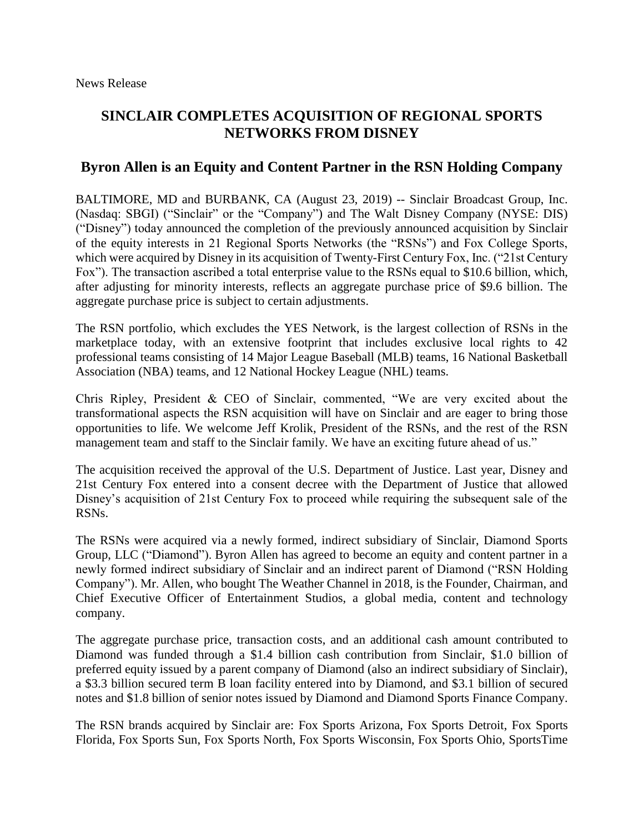# **SINCLAIR COMPLETES ACQUISITION OF REGIONAL SPORTS NETWORKS FROM DISNEY**

## **Byron Allen is an Equity and Content Partner in the RSN Holding Company**

BALTIMORE, MD and BURBANK, CA (August 23, 2019) -- Sinclair Broadcast Group, Inc. (Nasdaq: SBGI) ("Sinclair" or the "Company") and The Walt Disney Company (NYSE: DIS) ("Disney") today announced the completion of the previously announced acquisition by Sinclair of the equity interests in 21 Regional Sports Networks (the "RSNs") and Fox College Sports, which were acquired by Disney in its acquisition of Twenty-First Century Fox, Inc. ("21st Century Fox"). The transaction ascribed a total enterprise value to the RSNs equal to \$10.6 billion, which, after adjusting for minority interests, reflects an aggregate purchase price of \$9.6 billion. The aggregate purchase price is subject to certain adjustments.

The RSN portfolio, which excludes the YES Network, is the largest collection of RSNs in the marketplace today, with an extensive footprint that includes exclusive local rights to 42 professional teams consisting of 14 Major League Baseball (MLB) teams, 16 National Basketball Association (NBA) teams, and 12 National Hockey League (NHL) teams.

Chris Ripley, President & CEO of Sinclair, commented, "We are very excited about the transformational aspects the RSN acquisition will have on Sinclair and are eager to bring those opportunities to life. We welcome Jeff Krolik, President of the RSNs, and the rest of the RSN management team and staff to the Sinclair family. We have an exciting future ahead of us."

The acquisition received the approval of the U.S. Department of Justice. Last year, Disney and 21st Century Fox entered into a consent decree with the Department of Justice that allowed Disney's acquisition of 21st Century Fox to proceed while requiring the subsequent sale of the RSNs.

The RSNs were acquired via a newly formed, indirect subsidiary of Sinclair, Diamond Sports Group, LLC ("Diamond"). Byron Allen has agreed to become an equity and content partner in a newly formed indirect subsidiary of Sinclair and an indirect parent of Diamond ("RSN Holding Company"). Mr. Allen, who bought The Weather Channel in 2018, is the Founder, Chairman, and Chief Executive Officer of Entertainment Studios, a global media, content and technology company.

The aggregate purchase price, transaction costs, and an additional cash amount contributed to Diamond was funded through a \$1.4 billion cash contribution from Sinclair, \$1.0 billion of preferred equity issued by a parent company of Diamond (also an indirect subsidiary of Sinclair), a \$3.3 billion secured term B loan facility entered into by Diamond, and \$3.1 billion of secured notes and \$1.8 billion of senior notes issued by Diamond and Diamond Sports Finance Company.

The RSN brands acquired by Sinclair are: Fox Sports Arizona, Fox Sports Detroit, Fox Sports Florida, Fox Sports Sun, Fox Sports North, Fox Sports Wisconsin, Fox Sports Ohio, SportsTime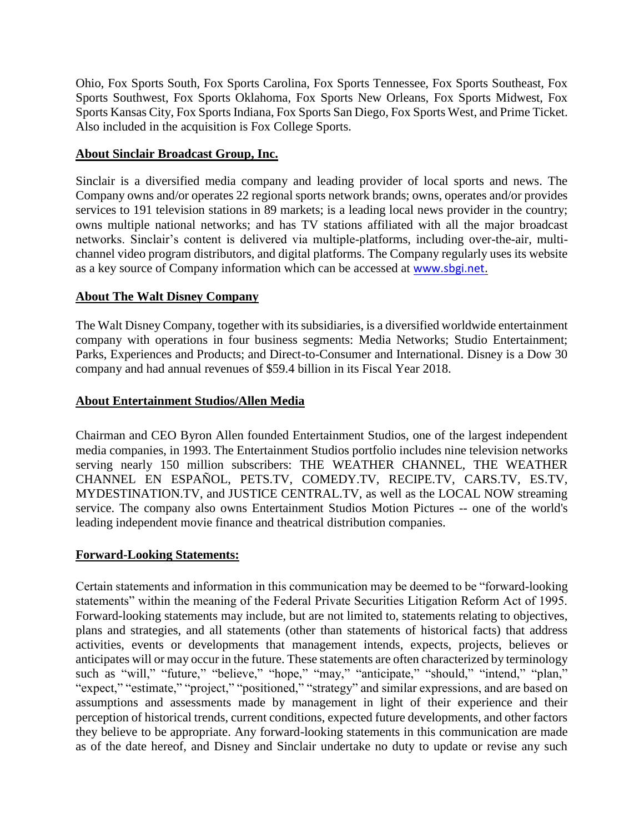Ohio, Fox Sports South, Fox Sports Carolina, Fox Sports Tennessee, Fox Sports Southeast, Fox Sports Southwest, Fox Sports Oklahoma, Fox Sports New Orleans, Fox Sports Midwest, Fox Sports Kansas City, Fox Sports Indiana, Fox Sports San Diego, Fox Sports West, and Prime Ticket. Also included in the acquisition is Fox College Sports.

#### **About Sinclair Broadcast Group, Inc.**

Sinclair is a diversified media company and leading provider of local sports and news. The Company owns and/or operates 22 regional sports network brands; owns, operates and/or provides services to 191 television stations in 89 markets; is a leading local news provider in the country; owns multiple national networks; and has TV stations affiliated with all the major broadcast networks. Sinclair's content is delivered via multiple-platforms, including over-the-air, multichannel video program distributors, and digital platforms. The Company regularly uses its website as a key source of Company information which can be accessed at [www.sbgi.net.](https://urldefense.proofpoint.com/v2/url?u=http-3A__www.sbgi.net_&d=DwMGaQ&c=euGZstcaTDllvimEN8b7jXrwqOf-v5A_CdpgnVfiiMM&r=UOlRogtv7F-NyZ0_6lbZ4e7Bg1omP4zkVYJjS-1sXxs&m=KHFhEiLFHefef4lkU2J1juR0jsGAMt8R9yJSBqKfVlk&s=C2AUcGGZCouK_jWlzB4vArSvPTjo5bngnOVYXRppfRk&e=)

#### **About The Walt Disney Company**

The Walt Disney Company, together with its subsidiaries, is a diversified worldwide entertainment company with operations in four business segments: Media Networks; Studio Entertainment; Parks, Experiences and Products; and Direct-to-Consumer and International. Disney is a Dow 30 company and had annual revenues of \$59.4 billion in its Fiscal Year 2018.

#### **About Entertainment Studios/Allen Media**

Chairman and CEO Byron Allen founded Entertainment Studios, one of the largest independent media companies, in 1993. The Entertainment Studios portfolio includes nine television networks serving nearly 150 million subscribers: THE WEATHER CHANNEL, THE WEATHER CHANNEL EN ESPAÑOL, PETS.TV, COMEDY.TV, RECIPE.TV, CARS.TV, ES.TV, MYDESTINATION.TV, and JUSTICE CENTRAL.TV, as well as the LOCAL NOW streaming service. The company also owns Entertainment Studios Motion Pictures -- one of the world's leading independent movie finance and theatrical distribution companies.

### **Forward-Looking Statements:**

Certain statements and information in this communication may be deemed to be "forward-looking statements" within the meaning of the Federal Private Securities Litigation Reform Act of 1995. Forward-looking statements may include, but are not limited to, statements relating to objectives, plans and strategies, and all statements (other than statements of historical facts) that address activities, events or developments that management intends, expects, projects, believes or anticipates will or may occur in the future. These statements are often characterized by terminology such as "will," "future," "believe," "hope," "may," "anticipate," "should," "intend," "plan," "expect," "estimate," "project," "positioned," "strategy" and similar expressions, and are based on assumptions and assessments made by management in light of their experience and their perception of historical trends, current conditions, expected future developments, and other factors they believe to be appropriate. Any forward-looking statements in this communication are made as of the date hereof, and Disney and Sinclair undertake no duty to update or revise any such